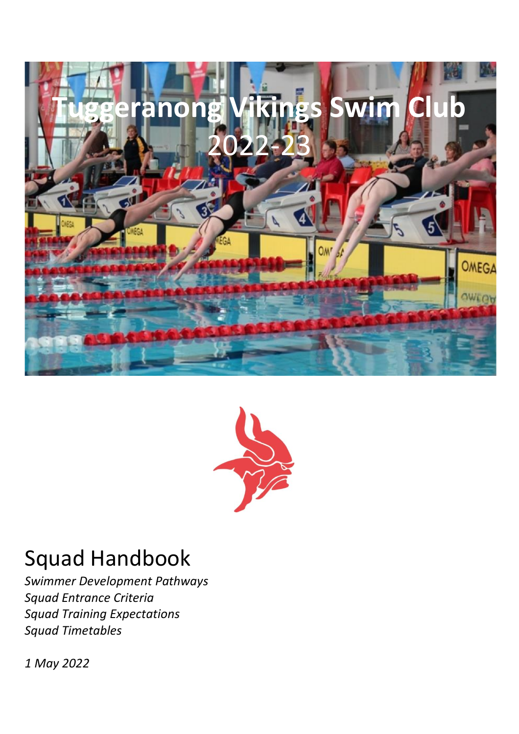



# Squad Handbook

*Swimmer Development Pathways Squad Entrance Criteria Squad Training Expectations Squad Timetables*

*1 May 2022*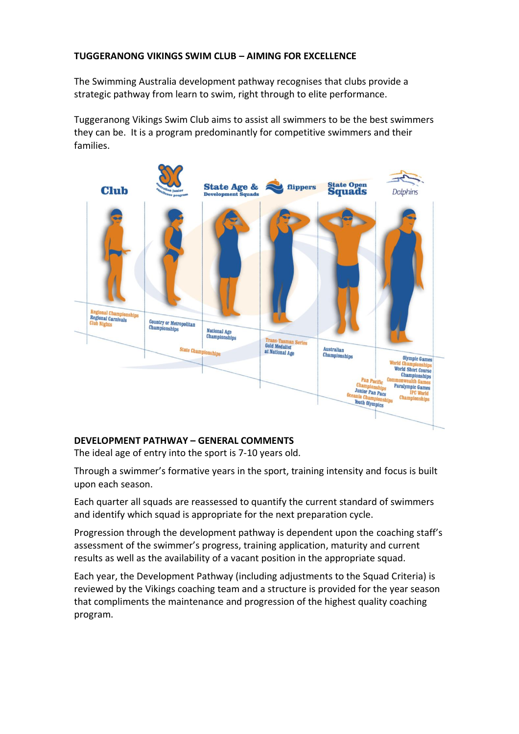# **TUGGERANONG VIKINGS SWIM CLUB – AIMING FOR EXCELLENCE**

The Swimming Australia development pathway recognises that clubs provide a strategic pathway from learn to swim, right through to elite performance.

Tuggeranong Vikings Swim Club aims to assist all swimmers to be the best swimmers they can be. It is a program predominantly for competitive swimmers and their families.



# **DEVELOPMENT PATHWAY – GENERAL COMMENTS**

The ideal age of entry into the sport is 7-10 years old.

Through a swimmer's formative years in the sport, training intensity and focus is built upon each season.

Each quarter all squads are reassessed to quantify the current standard of swimmers and identify which squad is appropriate for the next preparation cycle.

Progression through the development pathway is dependent upon the coaching staff's assessment of the swimmer's progress, training application, maturity and current results as well as the availability of a vacant position in the appropriate squad.

Each year, the Development Pathway (including adjustments to the Squad Criteria) is reviewed by the Vikings coaching team and a structure is provided for the year season that compliments the maintenance and progression of the highest quality coaching program.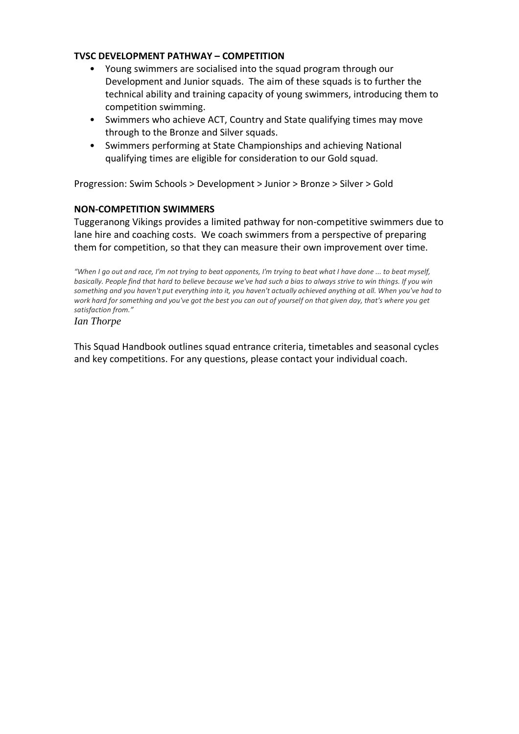## **TVSC DEVELOPMENT PATHWAY – COMPETITION**

- Young swimmers are socialised into the squad program through our Development and Junior squads. The aim of these squads is to further the technical ability and training capacity of young swimmers, introducing them to competition swimming.
- Swimmers who achieve ACT, Country and State qualifying times may move through to the Bronze and Silver squads.
- Swimmers performing at State Championships and achieving National qualifying times are eligible for consideration to our Gold squad.

Progression: Swim Schools > Development > Junior > Bronze > Silver > Gold

# **NON-COMPETITION SWIMMERS**

Tuggeranong Vikings provides a limited pathway for non-competitive swimmers due to lane hire and coaching costs. We coach swimmers from a perspective of preparing them for competition, so that they can measure their own improvement over time.

*"When I go out and race, I'm not trying to beat opponents, I'm trying to beat what I have done ... to beat myself, basically. People find that hard to believe because we've had such a bias to always strive to win things. If you win something and you haven't put everything into it, you haven't actually achieved anything at all. When you've had to work hard for something and you've got the best you can out of yourself on that given day, that's where you get satisfaction from."*

*Ian Thorpe* 

This Squad Handbook outlines squad entrance criteria, timetables and seasonal cycles and key competitions. For any questions, please contact your individual coach.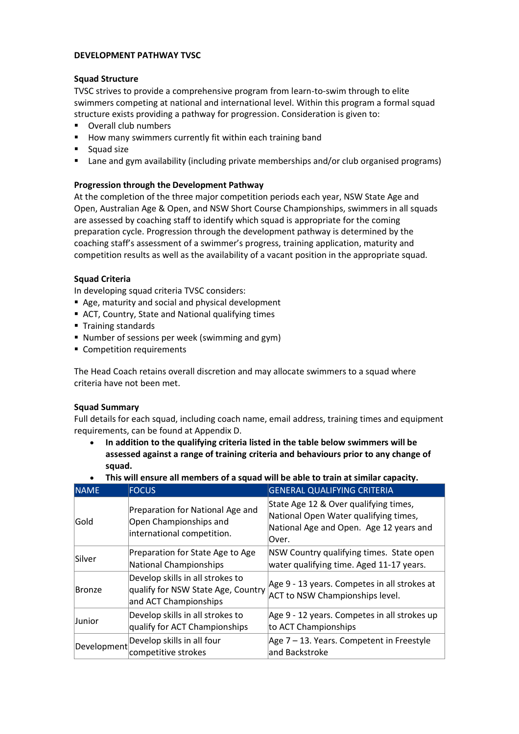## **DEVELOPMENT PATHWAY TVSC**

## **Squad Structure**

TVSC strives to provide a comprehensive program from learn-to-swim through to elite swimmers competing at national and international level. Within this program a formal squad structure exists providing a pathway for progression. Consideration is given to:

- Overall club numbers
- How many swimmers currently fit within each training band
- Squad size
- Lane and gym availability (including private memberships and/or club organised programs)

## **Progression through the Development Pathway**

At the completion of the three major competition periods each year, NSW State Age and Open, Australian Age & Open, and NSW Short Course Championships, swimmers in all squads are assessed by coaching staff to identify which squad is appropriate for the coming preparation cycle. Progression through the development pathway is determined by the coaching staff's assessment of a swimmer's progress, training application, maturity and competition results as well as the availability of a vacant position in the appropriate squad.

## **Squad Criteria**

In developing squad criteria TVSC considers:

- Age, maturity and social and physical development
- ACT, Country, State and National qualifying times
- Training standards
- Number of sessions per week (swimming and gym)
- Competition requirements

The Head Coach retains overall discretion and may allocate swimmers to a squad where criteria have not been met.

## **Squad Summary**

Full details for each squad, including coach name, email address, training times and equipment requirements, can be found at Appendix D.

- **In addition to the qualifying criteria listed in the table below swimmers will be assessed against a range of training criteria and behaviours prior to any change of squad.**
- **NAME FOCUS GENERAL QUALIFYING CRITERIA** Gold Preparation for National Age and Open Championships and international competition. State Age 12 & Over qualifying times, National Open Water qualifying times, National Age and Open. Age 12 years and Over. |<br>|Silver Preparation for State Age to Age National Championships NSW Country qualifying times. State open water qualifying time. Aged 11-17 years. Bronze Develop skills in all strokes to qualify for NSW State Age, Country and ACT Championships Age 9 - 13 years. Competes in all strokes at ACT to NSW Championships level. Junior Develop skills in all strokes to qualify for ACT Championships Age 9 - 12 years. Competes in all strokes up to ACT Championships  $\vert$ Development Develop skills in all four competitive strokes Age 7 – 13. Years. Competent in Freestyle and Backstroke
- **This will ensure all members of a squad will be able to train at similar capacity.**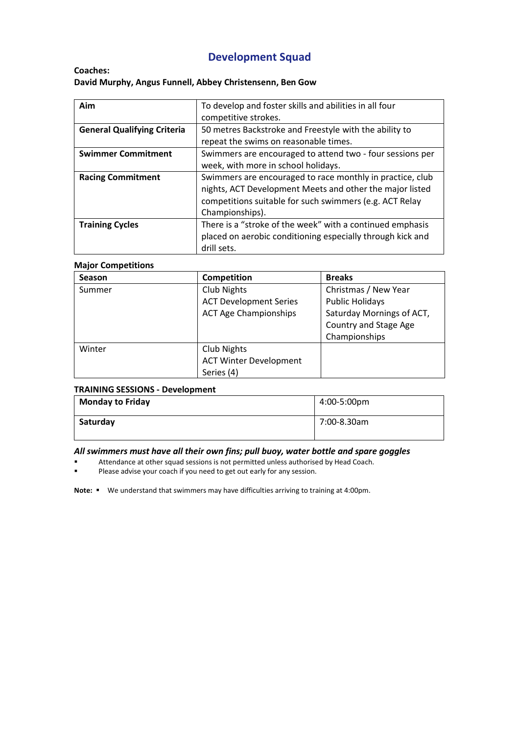# **Development Squad**

## **Coaches: David Murphy, Angus Funnell, Abbey Christensenn, Ben Gow**

| Aim                                | To develop and foster skills and abilities in all four     |  |
|------------------------------------|------------------------------------------------------------|--|
|                                    | competitive strokes.                                       |  |
| <b>General Qualifying Criteria</b> | 50 metres Backstroke and Freestyle with the ability to     |  |
|                                    | repeat the swims on reasonable times.                      |  |
| <b>Swimmer Commitment</b>          | Swimmers are encouraged to attend two - four sessions per  |  |
|                                    | week, with more in school holidays.                        |  |
| <b>Racing Commitment</b>           | Swimmers are encouraged to race monthly in practice, club  |  |
|                                    | nights, ACT Development Meets and other the major listed   |  |
|                                    | competitions suitable for such swimmers (e.g. ACT Relay    |  |
|                                    | Championships).                                            |  |
| <b>Training Cycles</b>             | There is a "stroke of the week" with a continued emphasis  |  |
|                                    | placed on aerobic conditioning especially through kick and |  |
|                                    | drill sets.                                                |  |

## **Major Competitions**

| <b>Season</b> | Competition                   | <b>Breaks</b>             |
|---------------|-------------------------------|---------------------------|
| Summer        | Club Nights                   | Christmas / New Year      |
|               | <b>ACT Development Series</b> | <b>Public Holidays</b>    |
|               | <b>ACT Age Championships</b>  | Saturday Mornings of ACT, |
|               |                               | Country and Stage Age     |
|               |                               | Championships             |
| Winter        | Club Nights                   |                           |
|               | <b>ACT Winter Development</b> |                           |
|               | Series (4)                    |                           |

### **TRAINING SESSIONS - Development**

| <b>Monday to Friday</b> | 4:00-5:00pm |
|-------------------------|-------------|
| Saturday                | 7:00-8.30am |

#### *All swimmers must have all their own fins; pull buoy, water bottle and spare goggles*

- Attendance at other squad sessions is not permitted unless authorised by Head Coach.
- Please advise your coach if you need to get out early for any session.

**Note:** ▪ We understand that swimmers may have difficulties arriving to training at 4:00pm.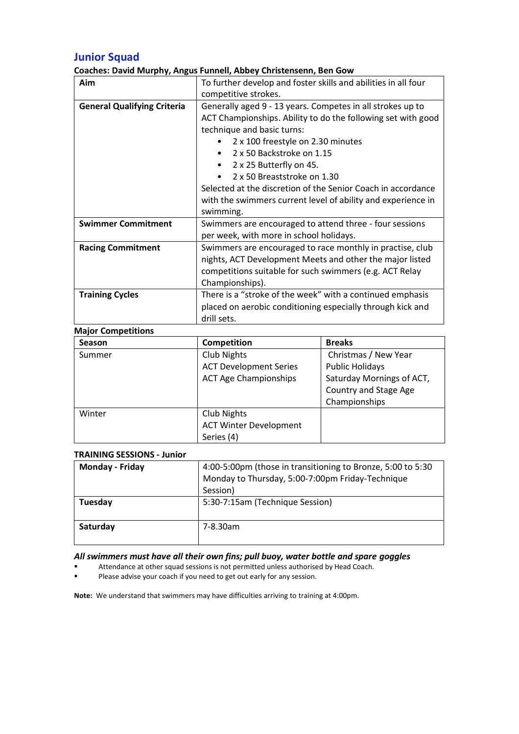# **Junior Squad**

## **Coaches: David Murphy, Angus Funnell, Abbey Christensenn, Ben Gow**

| Aim                                | To further develop and foster skills and abilities in all four |                                                              |
|------------------------------------|----------------------------------------------------------------|--------------------------------------------------------------|
|                                    | competitive strokes.                                           |                                                              |
| <b>General Qualifying Criteria</b> | Generally aged 9 - 13 years. Competes in all strokes up to     |                                                              |
|                                    |                                                                | ACT Championships. Ability to do the following set with good |
|                                    | technique and basic turns:                                     |                                                              |
|                                    | 2 x 100 freestyle on 2.30 minutes                              |                                                              |
|                                    | 2 x 50 Backstroke on 1.15                                      |                                                              |
|                                    | 2 x 25 Butterfly on 45.                                        |                                                              |
|                                    | 2 x 50 Breaststroke on 1.30<br>$\bullet$                       |                                                              |
|                                    | Selected at the discretion of the Senior Coach in accordance   |                                                              |
|                                    | with the swimmers current level of ability and experience in   |                                                              |
|                                    | swimming.                                                      |                                                              |
| <b>Swimmer Commitment</b>          | Swimmers are encouraged to attend three - four sessions        |                                                              |
|                                    | per week, with more in school holidays.                        |                                                              |
| <b>Racing Commitment</b>           | Swimmers are encouraged to race monthly in practise, club      |                                                              |
|                                    | nights, ACT Development Meets and other the major listed       |                                                              |
|                                    | competitions suitable for such swimmers (e.g. ACT Relay        |                                                              |
|                                    | Championships).                                                |                                                              |
| <b>Training Cycles</b>             | There is a "stroke of the week" with a continued emphasis      |                                                              |
|                                    | placed on aerobic conditioning especially through kick and     |                                                              |
|                                    | drill sets.                                                    |                                                              |
| <b>Major Competitions</b>          |                                                                |                                                              |
| Season                             | Competition                                                    | <b>Breaks</b>                                                |
| Summer                             | <b>Club Nights</b>                                             | Christmas / New Year                                         |
|                                    | <b>ACT Development Series</b>                                  | <b>Public Holidays</b>                                       |
|                                    | <b>ACT Age Championships</b>                                   | Saturday Mornings of ACT,                                    |
|                                    |                                                                | <b>Country and Stage Age</b>                                 |
|                                    |                                                                | Championships                                                |
| Winter                             | <b>Club Nights</b>                                             |                                                              |
|                                    | <b>ACT Winter Development</b>                                  |                                                              |

## **TRAINING SESSIONS - Junior**

| Monday - Friday | 4:00-5:00pm (those in transitioning to Bronze, 5:00 to 5:30<br>Monday to Thursday, 5:00-7:00pm Friday-Technique<br>Session) |
|-----------------|-----------------------------------------------------------------------------------------------------------------------------|
| Tuesday         | 5:30-7:15am (Technique Session)                                                                                             |
| Saturday        | 7-8.30am                                                                                                                    |

## *All swimmers must have all their own fins; pull buoy, water bottle and spare goggles*

Attendance at other squad sessions is not permitted unless authorised by Head Coach.

Series (4)

Please advise your coach if you need to get out early for any session.

**Note:** We understand that swimmers may have difficulties arriving to training at 4:00pm.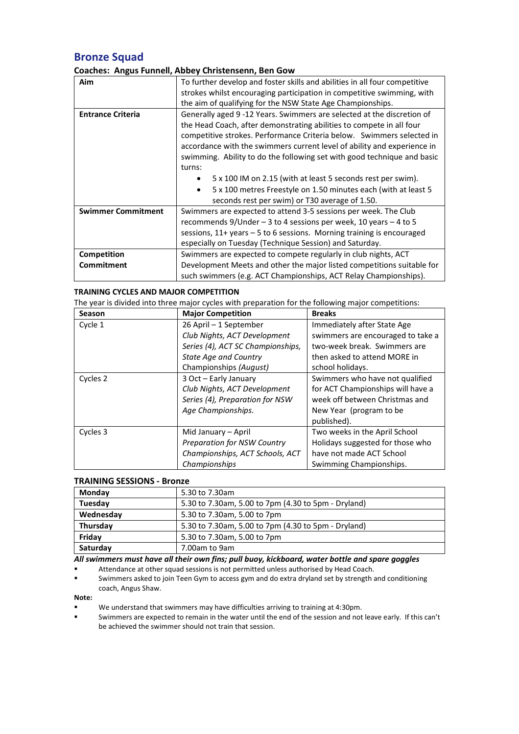# **Bronze Squad**

## **Coaches: Angus Funnell, Abbey Christensenn, Ben Gow**

| Aim                       | To further develop and foster skills and abilities in all four competitive |  |
|---------------------------|----------------------------------------------------------------------------|--|
|                           | strokes whilst encouraging participation in competitive swimming, with     |  |
|                           | the aim of qualifying for the NSW State Age Championships.                 |  |
| <b>Entrance Criteria</b>  | Generally aged 9 -12 Years. Swimmers are selected at the discretion of     |  |
|                           | the Head Coach, after demonstrating abilities to compete in all four       |  |
|                           | competitive strokes. Performance Criteria below. Swimmers selected in      |  |
|                           | accordance with the swimmers current level of ability and experience in    |  |
|                           | swimming. Ability to do the following set with good technique and basic    |  |
|                           | turns:                                                                     |  |
|                           | 5 x 100 IM on 2.15 (with at least 5 seconds rest per swim).                |  |
|                           | 5 x 100 metres Freestyle on 1.50 minutes each (with at least 5<br>٠        |  |
|                           | seconds rest per swim) or T30 average of 1.50.                             |  |
| <b>Swimmer Commitment</b> | Swimmers are expected to attend 3-5 sessions per week. The Club            |  |
|                           | recommends $9/$ Under – 3 to 4 sessions per week, 10 years – 4 to 5        |  |
|                           | sessions, 11+ years - 5 to 6 sessions. Morning training is encouraged      |  |
|                           | especially on Tuesday (Technique Session) and Saturday.                    |  |
| Competition               | Swimmers are expected to compete regularly in club nights, ACT             |  |
| <b>Commitment</b>         | Development Meets and other the major listed competitions suitable for     |  |
|                           | such swimmers (e.g. ACT Championships, ACT Relay Championships).           |  |

## **TRAINING CYCLES AND MAJOR COMPETITION**

The year is divided into three major cycles with preparation for the following major competitions:

| <b>Season</b> | <b>Major Competition</b>           | <b>Breaks</b>                     |
|---------------|------------------------------------|-----------------------------------|
| Cycle 1       | 26 April - 1 September             | Immediately after State Age       |
|               | Club Nights, ACT Development       | swimmers are encouraged to take a |
|               | Series (4), ACT SC Championships,  | two-week break. Swimmers are      |
|               | <b>State Age and Country</b>       | then asked to attend MORE in      |
|               | Championships (August)             | school holidays.                  |
| Cycles 2      | 3 Oct - Early January              | Swimmers who have not qualified   |
|               | Club Nights, ACT Development       | for ACT Championships will have a |
|               | Series (4), Preparation for NSW    | week off between Christmas and    |
|               | Age Championships.                 | New Year (program to be           |
|               |                                    | published).                       |
| Cycles 3      | Mid January – April                | Two weeks in the April School     |
|               | <b>Preparation for NSW Country</b> | Holidays suggested for those who  |
|               | Championships, ACT Schools, ACT    | have not made ACT School          |
|               | Championships                      | Swimming Championships.           |

#### **TRAINING SESSIONS - Bronze**

| Monday    | 5.30 to 7.30am                                      |
|-----------|-----------------------------------------------------|
| Tuesday   | 5.30 to 7.30am, 5.00 to 7pm (4.30 to 5pm - Dryland) |
| Wednesday | 5.30 to 7.30am, 5.00 to 7pm                         |
| Thursday  | 5.30 to 7.30am, 5.00 to 7pm (4.30 to 5pm - Dryland) |
| Fridav    | 5.30 to 7.30am, 5.00 to 7pm                         |
| Saturday  | 7.00am to 9am                                       |

#### *All swimmers must have all their own fins; pull buoy, kickboard, water bottle and spare goggles*

- Attendance at other squad sessions is not permitted unless authorised by Head Coach.
- Swimmers asked to join Teen Gym to access gym and do extra dryland set by strength and conditioning coach, Angus Shaw.

## **Note:**

- We understand that swimmers may have difficulties arriving to training at 4:30pm.
- Swimmers are expected to remain in the water until the end of the session and not leave early. If this can't be achieved the swimmer should not train that session.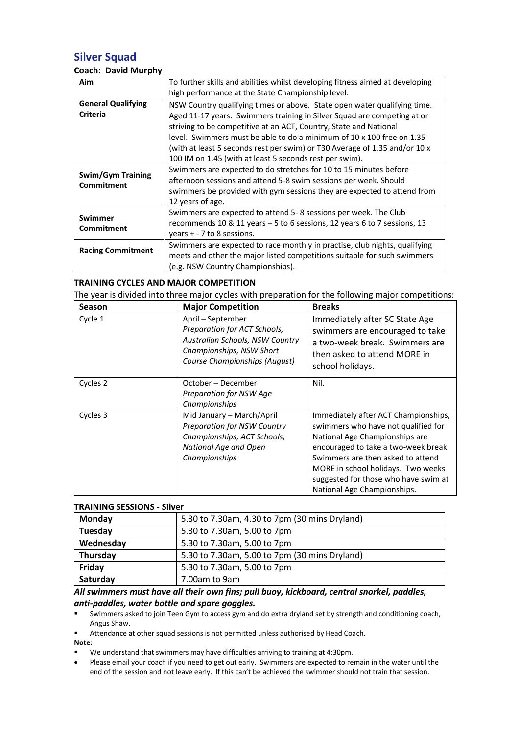# **Silver Squad**

## **Coach: David Murphy**

| Aim                                           | To further skills and abilities whilst developing fitness aimed at developing<br>high performance at the State Championship level.                                                                                                                                                                                                                                                                                                         |
|-----------------------------------------------|--------------------------------------------------------------------------------------------------------------------------------------------------------------------------------------------------------------------------------------------------------------------------------------------------------------------------------------------------------------------------------------------------------------------------------------------|
| <b>General Qualifying</b><br><b>Criteria</b>  | NSW Country qualifying times or above. State open water qualifying time.<br>Aged 11-17 years. Swimmers training in Silver Squad are competing at or<br>striving to be competitive at an ACT, Country, State and National<br>level. Swimmers must be able to do a minimum of 10 x 100 free on 1.35<br>(with at least 5 seconds rest per swim) or T30 Average of 1.35 and/or 10 x<br>100 IM on 1.45 (with at least 5 seconds rest per swim). |
| <b>Swim/Gym Training</b><br><b>Commitment</b> | Swimmers are expected to do stretches for 10 to 15 minutes before<br>afternoon sessions and attend 5-8 swim sessions per week. Should<br>swimmers be provided with gym sessions they are expected to attend from<br>12 years of age.                                                                                                                                                                                                       |
| Swimmer<br><b>Commitment</b>                  | Swimmers are expected to attend 5-8 sessions per week. The Club<br>recommends 10 & 11 years - 5 to 6 sessions, 12 years 6 to 7 sessions, 13<br>years $+ - 7$ to 8 sessions.                                                                                                                                                                                                                                                                |
| <b>Racing Commitment</b>                      | Swimmers are expected to race monthly in practise, club nights, qualifying<br>meets and other the major listed competitions suitable for such swimmers<br>(e.g. NSW Country Championships).                                                                                                                                                                                                                                                |

## **TRAINING CYCLES AND MAJOR COMPETITION**

The year is divided into three major cycles with preparation for the following major competitions:

| <b>Season</b> | <b>Major Competition</b>                                                                                                                          | <b>Breaks</b>                                                                                                                                                                                                                                                                                           |
|---------------|---------------------------------------------------------------------------------------------------------------------------------------------------|---------------------------------------------------------------------------------------------------------------------------------------------------------------------------------------------------------------------------------------------------------------------------------------------------------|
| Cycle 1       | April - September<br>Preparation for ACT Schools,<br>Australian Schools, NSW Country<br>Championships, NSW Short<br>Course Championships (August) | Immediately after SC State Age<br>swimmers are encouraged to take<br>a two-week break. Swimmers are<br>then asked to attend MORE in<br>school holidays.                                                                                                                                                 |
| Cycles 2      | October – December<br>Preparation for NSW Age<br>Championships                                                                                    | Nil.                                                                                                                                                                                                                                                                                                    |
| Cycles 3      | Mid January - March/April<br><b>Preparation for NSW Country</b><br>Championships, ACT Schools,<br>National Age and Open<br>Championships          | Immediately after ACT Championships,<br>swimmers who have not qualified for<br>National Age Championships are<br>encouraged to take a two-week break.<br>Swimmers are then asked to attend<br>MORE in school holidays. Two weeks<br>suggested for those who have swim at<br>National Age Championships. |

#### **TRAINING SESSIONS - Silver**

| Monday    | 5.30 to 7.30am, 4.30 to 7pm (30 mins Dryland) |
|-----------|-----------------------------------------------|
| Tuesday   | 5.30 to 7.30am, 5.00 to 7pm                   |
| Wednesday | 5.30 to 7.30am, 5.00 to 7pm                   |
| Thursday  | 5.30 to 7.30am, 5.00 to 7pm (30 mins Dryland) |
| Friday    | 5.30 to 7.30am, 5.00 to 7pm                   |
| Saturday  | 7.00am to 9am                                 |

## *All swimmers must have all their own fins; pull buoy, kickboard, central snorkel, paddles, anti-paddles, water bottle and spare goggles.*

▪ Swimmers asked to join Teen Gym to access gym and do extra dryland set by strength and conditioning coach, Angus Shaw.

Attendance at other squad sessions is not permitted unless authorised by Head Coach.

**Note:**

We understand that swimmers may have difficulties arriving to training at 4:30pm.

• Please email your coach if you need to get out early. Swimmers are expected to remain in the water until the end of the session and not leave early. If this can't be achieved the swimmer should not train that session.